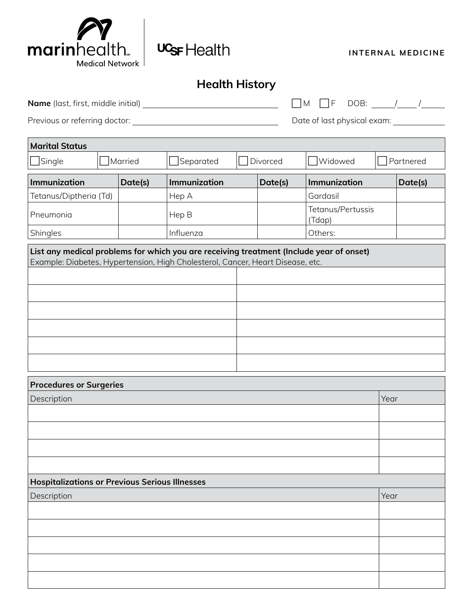

 $\Gamma$ 

| UGF Health |
|------------|
|            |

**INTERNAL MEDICINE**

## **Health History**

| <b>Name</b> (last, first, middle initial) | $\Box M$ $\Box F$ DOB:      |
|-------------------------------------------|-----------------------------|
| Previous or referring doctor:             | Date of last physical exam: |

| <b>Marital Status</b>                                                                                                                                                     |  |         |              |  |          |                             |  |           |
|---------------------------------------------------------------------------------------------------------------------------------------------------------------------------|--|---------|--------------|--|----------|-----------------------------|--|-----------|
| $\mathsf{\rfloor}$ Single                                                                                                                                                 |  | Married | Separated    |  | Divorced | <b>Widowed</b>              |  | Partnered |
| Immunization                                                                                                                                                              |  | Date(s) | Immunization |  | Date(s)  | Immunization                |  | Date(s)   |
| Tetanus/Diptheria (Td)                                                                                                                                                    |  |         | Hep A        |  |          | Gardasil                    |  |           |
| Pneumonia                                                                                                                                                                 |  |         | Hep B        |  |          | Tetanus/Pertussis<br>(Tdap) |  |           |
| Shingles                                                                                                                                                                  |  |         | Influenza    |  |          | Others:                     |  |           |
| List any medical problems for which you are receiving treatment (Include year of onset)<br>Example: Diabetes, Hypertension, High Cholesterol, Cancer, Heart Disease, etc. |  |         |              |  |          |                             |  |           |
|                                                                                                                                                                           |  |         |              |  |          |                             |  |           |
|                                                                                                                                                                           |  |         |              |  |          |                             |  |           |
|                                                                                                                                                                           |  |         |              |  |          |                             |  |           |
|                                                                                                                                                                           |  |         |              |  |          |                             |  |           |
|                                                                                                                                                                           |  |         |              |  |          |                             |  |           |
|                                                                                                                                                                           |  |         |              |  |          |                             |  |           |

| <b>Procedures or Surgeries</b>                        |      |
|-------------------------------------------------------|------|
| Description                                           | Year |
|                                                       |      |
|                                                       |      |
|                                                       |      |
|                                                       |      |
| <b>Hospitalizations or Previous Serious Illnesses</b> |      |
| Description                                           | Year |
|                                                       |      |
|                                                       |      |
|                                                       |      |
|                                                       |      |
|                                                       |      |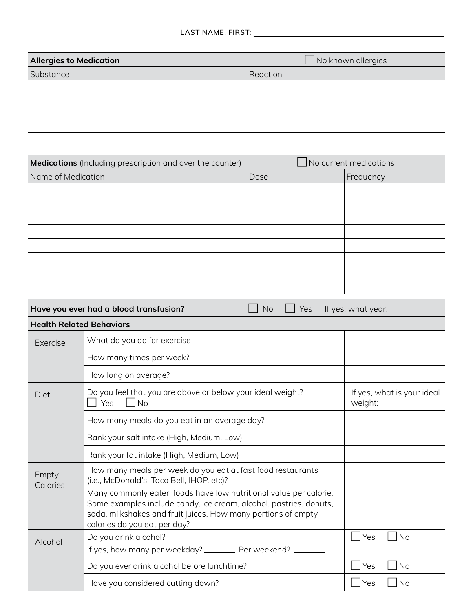| <b>Allergies to Medication</b>                                                                                                                                                                                                           |                                                                                                          |                  | $\Box$ No known allergies                |  |  |  |
|------------------------------------------------------------------------------------------------------------------------------------------------------------------------------------------------------------------------------------------|----------------------------------------------------------------------------------------------------------|------------------|------------------------------------------|--|--|--|
| Substance                                                                                                                                                                                                                                |                                                                                                          | Reaction         |                                          |  |  |  |
|                                                                                                                                                                                                                                          |                                                                                                          |                  |                                          |  |  |  |
|                                                                                                                                                                                                                                          |                                                                                                          |                  |                                          |  |  |  |
|                                                                                                                                                                                                                                          |                                                                                                          |                  |                                          |  |  |  |
|                                                                                                                                                                                                                                          |                                                                                                          |                  |                                          |  |  |  |
|                                                                                                                                                                                                                                          |                                                                                                          |                  |                                          |  |  |  |
|                                                                                                                                                                                                                                          | <b>Medications</b> (Including prescription and over the counter)                                         |                  | No current medications                   |  |  |  |
| Name of Medication                                                                                                                                                                                                                       |                                                                                                          | Dose             | Frequency                                |  |  |  |
|                                                                                                                                                                                                                                          |                                                                                                          |                  |                                          |  |  |  |
|                                                                                                                                                                                                                                          |                                                                                                          |                  |                                          |  |  |  |
|                                                                                                                                                                                                                                          |                                                                                                          |                  |                                          |  |  |  |
|                                                                                                                                                                                                                                          |                                                                                                          |                  |                                          |  |  |  |
|                                                                                                                                                                                                                                          |                                                                                                          |                  |                                          |  |  |  |
|                                                                                                                                                                                                                                          |                                                                                                          |                  |                                          |  |  |  |
|                                                                                                                                                                                                                                          |                                                                                                          |                  |                                          |  |  |  |
|                                                                                                                                                                                                                                          | Have you ever had a blood transfusion?                                                                   | <b>No</b><br>Yes | If yes, what year:                       |  |  |  |
| <b>Health Related Behaviors</b>                                                                                                                                                                                                          |                                                                                                          |                  |                                          |  |  |  |
| Exercise                                                                                                                                                                                                                                 | What do you do for exercise                                                                              |                  |                                          |  |  |  |
|                                                                                                                                                                                                                                          | How many times per week?                                                                                 |                  |                                          |  |  |  |
|                                                                                                                                                                                                                                          | How long on average?                                                                                     |                  |                                          |  |  |  |
| Diet                                                                                                                                                                                                                                     | Do you feel that you are above or below your ideal weight?<br>No<br>Yes                                  |                  | If yes, what is your ideal<br>weight: __ |  |  |  |
|                                                                                                                                                                                                                                          | How many meals do you eat in an average day?                                                             |                  |                                          |  |  |  |
|                                                                                                                                                                                                                                          | Rank your salt intake (High, Medium, Low)                                                                |                  |                                          |  |  |  |
| Rank your fat intake (High, Medium, Low)                                                                                                                                                                                                 |                                                                                                          |                  |                                          |  |  |  |
| Empty<br>Calories                                                                                                                                                                                                                        | How many meals per week do you eat at fast food restaurants<br>(i.e., McDonald's, Taco Bell, IHOP, etc)? |                  |                                          |  |  |  |
| Many commonly eaten foods have low nutritional value per calorie.<br>Some examples include candy, ice cream, alcohol, pastries, donuts,<br>soda, milkshakes and fruit juices. How many portions of empty<br>calories do you eat per day? |                                                                                                          |                  |                                          |  |  |  |
| Alcohol                                                                                                                                                                                                                                  | Do you drink alcohol?                                                                                    |                  | Yes<br>$\overline{\big N}$               |  |  |  |
|                                                                                                                                                                                                                                          | If yes, how many per weekday? __________ Per weekend? ________                                           |                  |                                          |  |  |  |
|                                                                                                                                                                                                                                          | Do you ever drink alcohol before lunchtime?                                                              |                  | $\bigcup$ No<br>$\Box$ Yes               |  |  |  |
|                                                                                                                                                                                                                                          | Have you considered cutting down?                                                                        |                  | $\Box$ Yes<br>$\Box$ No                  |  |  |  |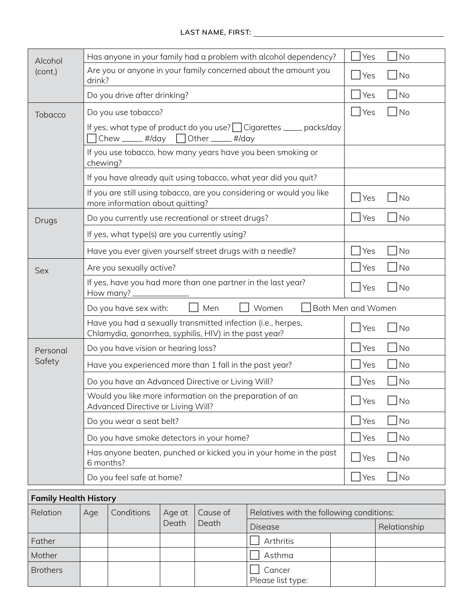| Alcohol  | Has anyone in your family had a problem with alcohol dependency?                                                          | No<br>Yes                          |  |  |  |  |
|----------|---------------------------------------------------------------------------------------------------------------------------|------------------------------------|--|--|--|--|
| (cont.)  | Are you or anyone in your family concerned about the amount you<br>drink?                                                 | $ $ No<br>Yes                      |  |  |  |  |
|          | Do you drive after drinking?                                                                                              | No<br>Yes                          |  |  |  |  |
| Tobacco  | Do you use tobacco?                                                                                                       | No<br>Yes                          |  |  |  |  |
|          | If yes, what type of product do you use?   Cigarettes _____ packs/day<br>$\Box$ Chew _____ #/day $\Box$ Other _____ #/day |                                    |  |  |  |  |
|          | If you use tobacco, how many years have you been smoking or<br>chewing?                                                   |                                    |  |  |  |  |
|          | If you have already quit using tobacco, what year did you quit?                                                           |                                    |  |  |  |  |
|          | If you are still using tobacco, are you considering or would you like<br>more information about quitting?                 | Yes<br>No                          |  |  |  |  |
| Drugs    | Do you currently use recreational or street drugs?                                                                        | Yes<br> No                         |  |  |  |  |
|          | If yes, what type(s) are you currently using?                                                                             |                                    |  |  |  |  |
|          | Have you ever given yourself street drugs with a needle?                                                                  | Yes<br> No                         |  |  |  |  |
| Sex      | Are you sexually active?                                                                                                  | Yes<br>No                          |  |  |  |  |
|          | If yes, have you had more than one partner in the last year?<br>How many? _______________                                 | Yes<br>No                          |  |  |  |  |
|          | Women<br>Men<br>Do you have sex with:                                                                                     | Both Men and Women                 |  |  |  |  |
|          | Have you had a sexually transmitted infection (i.e., herpes,<br>Chlamydia, gonorrhea, syphilis, HIV) in the past year?    | Yes<br>$\overline{\phantom{a}}$ No |  |  |  |  |
| Personal | Do you have vision or hearing loss?                                                                                       | $ $ No<br>Yes                      |  |  |  |  |
| Safety   | Have you experienced more than 1 fall in the past year?                                                                   | Yes<br>No                          |  |  |  |  |
|          | Do you have an Advanced Directive or Living Will?                                                                         | No<br>Yes                          |  |  |  |  |
|          | Would you like more information on the preparation of an<br>Advanced Directive or Living Will?                            | Yes<br>No                          |  |  |  |  |
|          | Do you wear a seat belt?                                                                                                  | No<br>Yes                          |  |  |  |  |
|          | Do you have smoke detectors in your home?                                                                                 |                                    |  |  |  |  |
|          | Has anyone beaten, punched or kicked you in your home in the past<br>6 months?                                            | No<br>Yes                          |  |  |  |  |
|          | Do you feel safe at home?                                                                                                 | Yes <br>$\blacksquare$ No          |  |  |  |  |
|          |                                                                                                                           |                                    |  |  |  |  |

| <b>Family Health History</b> |                                         |                                          |       |       |                             |  |              |
|------------------------------|-----------------------------------------|------------------------------------------|-------|-------|-----------------------------|--|--------------|
| Relation                     | Conditions<br>Cause of<br>Age<br>Age at | Relatives with the following conditions: |       |       |                             |  |              |
|                              |                                         |                                          | Death | Death | <b>Disease</b>              |  | Relationship |
| Father                       |                                         |                                          |       |       | Arthritis                   |  |              |
| Mother                       |                                         |                                          |       |       | Asthma                      |  |              |
| <b>Brothers</b>              |                                         |                                          |       |       | Cancer<br>Please list type: |  |              |

 $\overline{\phantom{a}}$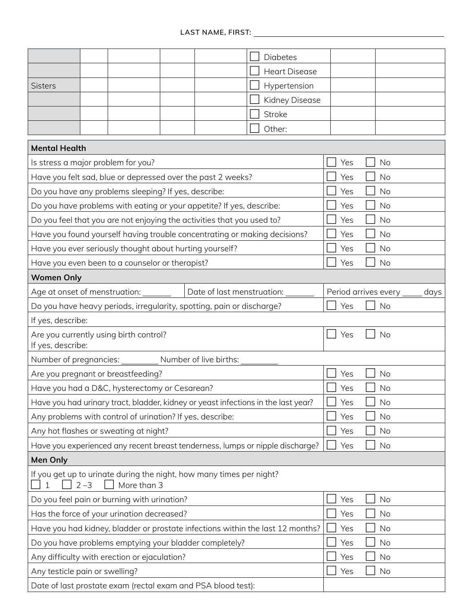|                                                                                                |  |                                                           |  |                                                                           |     | <b>Diabetes</b>                                                                   |     |                        |      |
|------------------------------------------------------------------------------------------------|--|-----------------------------------------------------------|--|---------------------------------------------------------------------------|-----|-----------------------------------------------------------------------------------|-----|------------------------|------|
|                                                                                                |  |                                                           |  |                                                                           |     | <b>Heart Disease</b>                                                              |     |                        |      |
| <b>Sisters</b>                                                                                 |  |                                                           |  |                                                                           |     | Hypertension                                                                      |     |                        |      |
|                                                                                                |  |                                                           |  |                                                                           |     | Kidney Disease                                                                    |     |                        |      |
|                                                                                                |  |                                                           |  |                                                                           |     | <b>Stroke</b>                                                                     |     |                        |      |
|                                                                                                |  |                                                           |  |                                                                           |     | Other:                                                                            |     |                        |      |
| <b>Mental Health</b>                                                                           |  |                                                           |  |                                                                           |     |                                                                                   |     |                        |      |
| Is stress a major problem for you?                                                             |  |                                                           |  |                                                                           |     |                                                                                   | Yes | No                     |      |
|                                                                                                |  |                                                           |  | Have you felt sad, blue or depressed over the past 2 weeks?               |     |                                                                                   | Yes | No                     |      |
|                                                                                                |  | Do you have any problems sleeping? If yes, describe:      |  |                                                                           |     |                                                                                   | Yes | No                     |      |
|                                                                                                |  |                                                           |  | Do you have problems with eating or your appetite? If yes, describe:      |     |                                                                                   | Yes | No                     |      |
|                                                                                                |  |                                                           |  | Do you feel that you are not enjoying the activities that you used to?    |     |                                                                                   | Yes | <b>No</b>              |      |
|                                                                                                |  |                                                           |  | Have you found yourself having trouble concentrating or making decisions? |     |                                                                                   | Yes | No                     |      |
|                                                                                                |  | Have you ever seriously thought about hurting yourself?   |  |                                                                           |     |                                                                                   | Yes | No                     |      |
|                                                                                                |  | Have you even been to a counselor or therapist?           |  |                                                                           |     |                                                                                   | Yes | No                     |      |
| <b>Women Only</b>                                                                              |  |                                                           |  |                                                                           |     |                                                                                   |     |                        |      |
|                                                                                                |  | Age at onset of menstruation: ________                    |  | Date of last menstruation:                                                |     |                                                                                   |     | Period arrives every _ | days |
|                                                                                                |  |                                                           |  | Do you have heavy periods, irregularity, spotting, pain or discharge?     |     |                                                                                   | Yes | No                     |      |
| If yes, describe:                                                                              |  |                                                           |  |                                                                           |     |                                                                                   |     |                        |      |
| If yes, describe:                                                                              |  | Are you currently using birth control?                    |  |                                                                           |     |                                                                                   | Yes | No                     |      |
| Number of pregnancies:                                                                         |  |                                                           |  | Number of live births:                                                    |     |                                                                                   |     |                        |      |
|                                                                                                |  | Are you pregnant or breastfeeding?                        |  |                                                                           |     |                                                                                   | Yes | No                     |      |
|                                                                                                |  | Have you had a D&C, hysterectomy or Cesarean?             |  |                                                                           |     |                                                                                   | Yes | No                     |      |
|                                                                                                |  |                                                           |  |                                                                           |     | Have you had urinary tract, bladder, kidney or yeast infections in the last year? | Yes | No                     |      |
|                                                                                                |  | Any problems with control of urination? If yes, describe: |  |                                                                           |     |                                                                                   | Yes | No                     |      |
|                                                                                                |  | Any hot flashes or sweating at night?                     |  |                                                                           |     |                                                                                   | Yes | No                     |      |
| Have you experienced any recent breast tenderness, lumps or nipple discharge?                  |  |                                                           |  |                                                                           | Yes | No                                                                                |     |                        |      |
| <b>Men Only</b>                                                                                |  |                                                           |  |                                                                           |     |                                                                                   |     |                        |      |
| If you get up to urinate during the night, how many times per night?<br>$2 - 3$<br>More than 3 |  |                                                           |  |                                                                           |     |                                                                                   |     |                        |      |
|                                                                                                |  | Do you feel pain or burning with urination?               |  |                                                                           |     |                                                                                   | Yes | No                     |      |
| Has the force of your urination decreased?                                                     |  |                                                           |  |                                                                           | Yes | No                                                                                |     |                        |      |
| Have you had kidney, bladder or prostate infections within the last 12 months?                 |  |                                                           |  |                                                                           |     | Yes                                                                               | No  |                        |      |
| Do you have problems emptying your bladder completely?                                         |  |                                                           |  |                                                                           |     | Yes                                                                               | No  |                        |      |
|                                                                                                |  | Any difficulty with erection or ejaculation?              |  |                                                                           |     |                                                                                   | Yes | No                     |      |
| Any testicle pain or swelling?                                                                 |  |                                                           |  |                                                                           |     |                                                                                   | Yes | No                     |      |
| Date of last prostate exam (rectal exam and PSA blood test):                                   |  |                                                           |  |                                                                           |     |                                                                                   |     |                        |      |